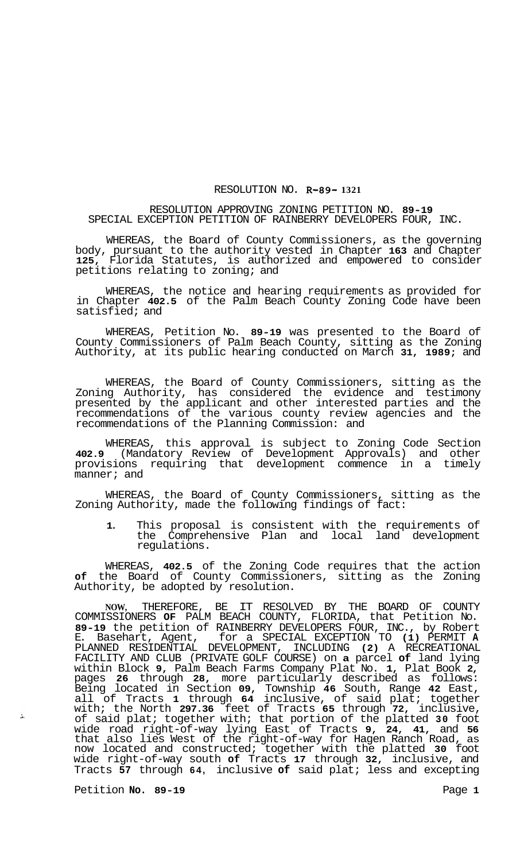## RESOLUTION NO. **R-89- 1321**

## RESOLUTION APPROVING ZONING PETITION NO. **89-19**  SPECIAL EXCEPTION PETITION OF RAINBERRY DEVELOPERS FOUR, INC.

WHEREAS, the Board of County Commissioners, as the governing body, pursuant to the authority vested in Chapter **163** and Chapter **125,** Florida Statutes, is authorized and empowered to consider petitions relating to zoning; and

WHEREAS, the notice and hearing requirements as provided for in Chapter **402.5** of the Palm Beach County Zoning Code have been satisfied; and

WHEREAS, Petition No. **89-19** was presented to the Board of County Commissioners of Palm Beach County, sitting as the Zoning Authority, at its public hearing conducted on March **31, 1989;** and

WHEREAS, the Board of County Commissioners, sitting as the Zoning Authority, has considered the evidence and testimony presented by the applicant and other interested parties and the recommendations of the various county review agencies and the recommendations of the Planning Commission: and

WHEREAS, this approval is subject to Zoning Code Section **402.9** (Mandatory Review of Development Approvals) and other provisions requiring that development commence in a timely manner; and

WHEREAS, the Board of County Commissioners, sitting as the Zoning Authority, made the following findings of fact:

**1.** This proposal is consistent with the requirements of the Comprehensive Plan and local land development regulations.

WHEREAS, **402.5** of the Zoning Code requires that the action **of** the Board of County Commissioners, sitting as the Zoning Authority, be adopted by resolution.

**NOW,** THEREFORE, BE IT RESOLVED BY THE BOARD OF COUNTY COMMISSIONERS **OF** PALM BEACH COUNTY, FLORIDA, that Petition No. **89-19** the petition of RAINBERRY DEVELOPERS FOUR, INC., by Robert E. Basehart, Agent, for a SPECIAL EXCEPTION TO **(1)** PERMIT **A**  PLANNED RESIDENTIAL DEVELOPMENT, INCLUDING **(2)** A RECREATIONAL FACILITY AND CLUB (PRIVATE GOLF COURSE) on **a** parcel **of** land lying within Block **9,** Palm Beach Farms Company Plat No. **1,** Plat Book **2,**  pages **26** through **28,** more particularly described as follows: Being located in Section **09,** Township **46** South, Range **42** East, all of Tracts **1** through **64** inclusive, of said plat; together with; the North **297.36** feet of Tracts **65** through **72,** inclusive, of said plat; together with; that portion of the platted **30** foot wide road right-of-way lying East of Tracts **9, 24, 41,** and **56**  that also lies West of the right-of-way for Hagen Ranch Road, as now located and constructed; together with the platted **30** foot wide right-of-way south **of** Tracts **17** through **32,** inclusive, and Tracts **57** through **64,** inclusive **of** said plat; less and excepting

Petition **No. 89-19 Page 1** 

 $\Delta$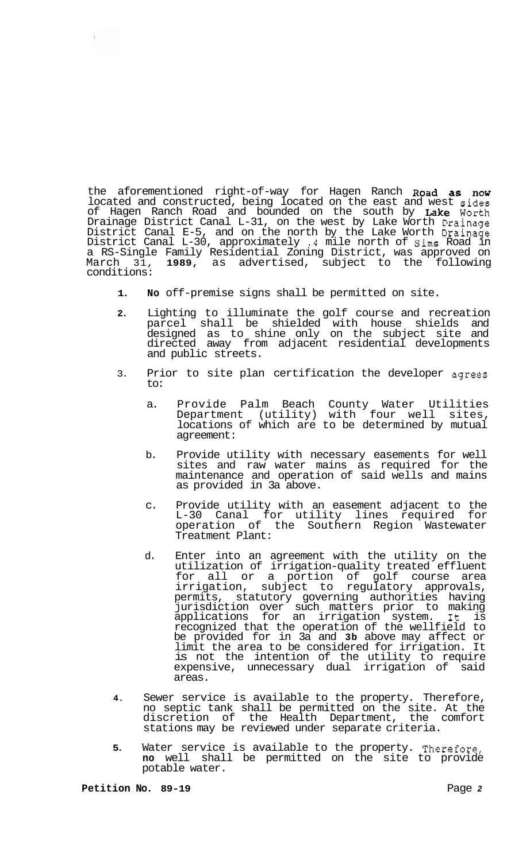the aforementioned right-of-way for Hagen Ranch Road as now located and constructed, being located on the east and west sides of Hagen Ranch Road and bounded on the south by Lake Worth Drainage District Canal L-31, on the west by Lake Worth Drainage District Canal E-5, and on the north by the Lake Worth Drainage District Canal L-30, approximately **.4** mile north of Sims Road in a RS-Single Family Residential Zoning District, was approved on March 31, **1989,** as advertised, subject to the following conditions:

- **1. No** off-premise signs shall be permitted on site.
- **2.** Lighting to illuminate the golf course and recreation parcel shall be shielded with house shields and designed as to shine only on the subject site and directed away from adjacent residential developments and public streets.
- 3. Prior to site plan certification the developer agrees to:
	- a. Provide Palm Beach County Water Utilities Department (utility) with four well sites, locations of which are to be determined by mutual agreement:
	- b. Provide utility with necessary easements for well sites and raw water mains as required for the maintenance and operation of said wells and mains as provided in 3a above.
	- c. Provide utility with an easement adjacent to the L-30 Canal for utility lines required for operation of the Southern Region Wastewater Treatment Plant:
	- d. Enter into an agreement with the utility on the utilization of irrigation-quality treated effluent for all or a portion of golf course area irrigation, subject to regulatory approvals, permits, statutory governing authorities having jurisdiction over such matters prior to making applications for an irrigation system. It is recognized that the operation of the wellfield to be provided for in 3a and **3b** above may affect or limit the area to be considered for irrigation. It is not the intention of the utility to require expensive, unnecessary dual irrigation of said areas.
- **4.** Sewer service is available to the property. Therefore, no septic tank shall be permitted on the site. At the discretion of the Health Department, the comfort stations may be reviewed under separate criteria.
- **5.** Water service is available to the property. Therefore, **no** well shall be permitted on the site to provide potable water.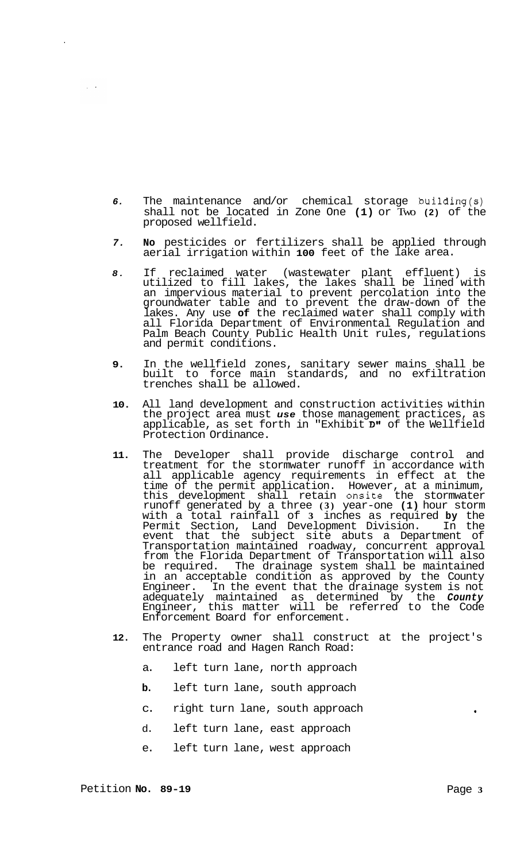- *6.* The maintenance and/or chemical storage building(s) shall not be located in Zone One **(1)** or Two **(2)** of the proposed wellfield.
- *7.* **No** pesticides or fertilizers shall be applied through aerial irrigation within **100** feet of the lake area.
- *8.* If reclaimed water (wastewater plant effluent) is utilized to fill lakes, the lakes shall be lined with an impervious material to prevent percolation into the groundwater table and to prevent the draw-down of the lakes. Any use **of** the reclaimed water shall comply with all Florida Department of Environmental Regulation and Palm Beach County Public Health Unit rules, regulations and permit conditions.
- **9.** In the wellfield zones, sanitary sewer mains shall be built to force main standards, and no exfiltration trenches shall be allowed.
- **10.** All land development and construction activities within the project area must *use* those management practices, as applicable, as set forth in "Exhibit D1' of the Wellfield Protection Ordinance.
- **11.** The Developer shall provide discharge control and treatment for the stormwater runoff in accordance with all applicable agency requirements in effect at the time of the permit application. However, at a minimum, this development shall retain onsite the stormwater runoff generated by a three **(3)** year-one **(1)** hour storm with a total rainfall of **3** inches as required **by** the Permit Section, Land Development Division. In the event that the subject site abuts a Department of Transportation maintained roadway, concurrent approval from the Florida Department of Transportation will also be required. The drainage system shall be maintained be required. The drainage system shall be maintained<br>in an acceptable condition as approved by the County Engineer. In the event that the drainage system is not adequately maintained as determined by the *County*  Engineer, this matter will be referred to the Code Enforcement Board for enforcement.
- **12.** The Property owner shall construct at the project's entrance road and Hagen Ranch Road:
	- a. left turn lane, north approach
	- **b.** left turn lane, south approach
	- c. right turn lane, south approach **<sup>t</sup>**
	- d. left turn lane, east approach
	- e. left turn lane, west approach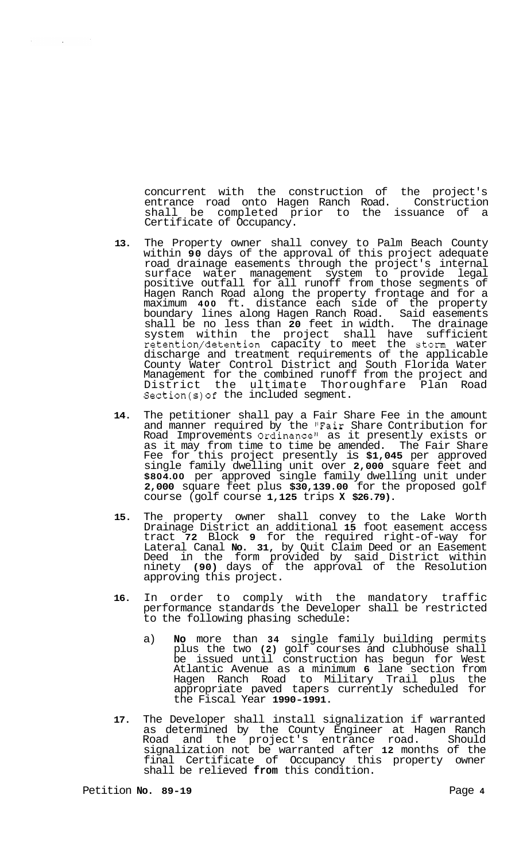concurrent with the construction of the project's<br>entrance road onto Hagen Ranch Road. Construction entrance road onto Hagen Ranch Road. shall be completed prior to the issuance of a Certificate of Occupancy.

- **13.**  The Property owner shall convey to Palm Beach County within **90** days of the approval of this project adequate road drainage easements through the project's internal surface water management system to provide legal positive outfall for all runoff from those segments of Hagen Ranch Road along the property frontage and for a maximum **400** ft. distance each side of the property boundary lines along Hagen Ranch Road. Said easements shall be no less than **20** feet in width. The drainage system within the project shall have sufficient retention/detention capacity to meet the storm water discharge and treatment requirements of the applicable County Water Control District and South Florida Water Management for the combined runoff from the project and District the ultimate Thoroughfare Plan Road Section(s)of the included segment.
- **14.** The petitioner shall pay a Fair Share Fee in the amount and manner required by the "Fair Share Contribution for Road Improvements Ordinance" as it presently exists or as it may from time to time be amended. The Fair Share Fee for this project presently is **\$1,045** per approved single family dwelling unit over **2,000** square feet and **\$804.00** per approved single family dwelling unit under **2,000** square feet plus **\$30,139.00** for the proposed golf course (golf course **1,125** trips **X \$26.79).**
- **15.** The property owner shall convey to the Lake Worth Drainage District an additional **15** foot easement access tract **72** Block **9** for the required right-of-way for Lateral Canal **No. 31,** by Quit Claim Deed or an Easement Deed in the form provided by said District within ninety **(90)** days of the approval of the Resolution approving this project.
- **16.** In order to comply with the mandatory traffic performance standards the Developer shall be restricted to the following phasing schedule:
	- a) **No** more than **34** single family building permits plus the two **(2)** golf courses and clubhouse shall be issued until construction has begun for West Atlantic Avenue as a minimum **6** lane section from Hagen Ranch Road to Military Trail plus the appropriate paved tapers currently scheduled for the Fiscal Year **1990-1991.**
- **17.** The Developer shall install signalization if warranted as determined by the County Engineer at Hagen Ranch Road and the project's entrance road. Should signalization not be warranted after **12** months of the final Certificate of Occupancy this property owner shall be relieved **from** this condition.

 $\sim$ 

 $\mathcal{L}_{\mathcal{A}}$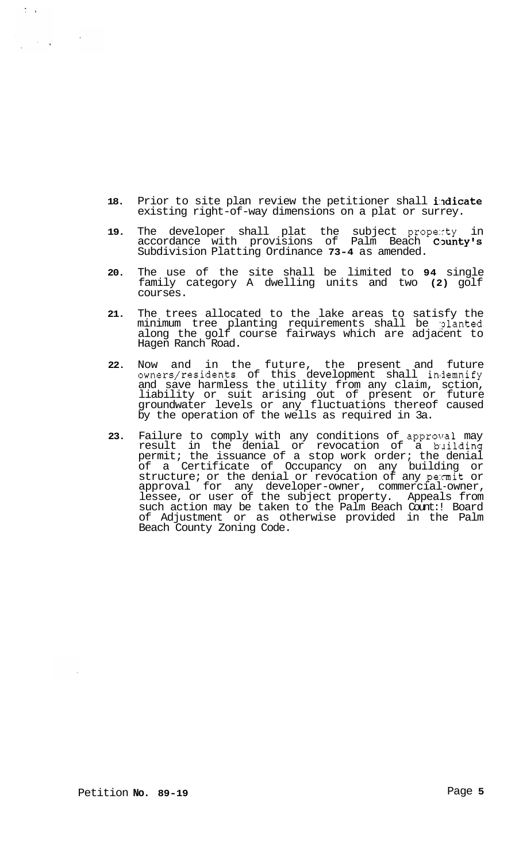- **18.** Prior to site plan review the petitioner shall indicate existing right-of-way dimensions on a plat or surrey.
- **19.** The developer shall plat the subject prope:rty in accordance with provisions of Palm Beach County's Subdivision Platting Ordinance **73-4** as amended.
- **20.** The use of the site shall be limited to **94** single family category A dwelling units and two **(2)** golf courses.
- **21.** The trees allocated to the lake areas to satisfy the minimum tree planting requirements shall be :?lanted along the golf course fairways which are adjacent to Hagen Ranch Road.
- **22.** Now and in the future, the present and future owners/residents of this development shall indemnify and save harmless the utility from any claim, sction, liability or suit arising out of present or future groundwater levels or any fluctuations thereof caused by the operation of the wells as required in 3a.
- **23.** Failure to comply with any conditions of approval may result in the denial or revocation of a bailding permit; the issuance of a stop work order; the denial of a Certificate of Occupancy on any building or structure; or the denial or revocation of any pe:rmit or approval for any developer-owner, commercial-owner, lessee, or user of the subject property. Appeals from such action may be taken to the Palm Beach Count:! Board of Adjustment or as otherwise provided in the Palm Beach County Zoning Code.

 $\frac{1}{2}$